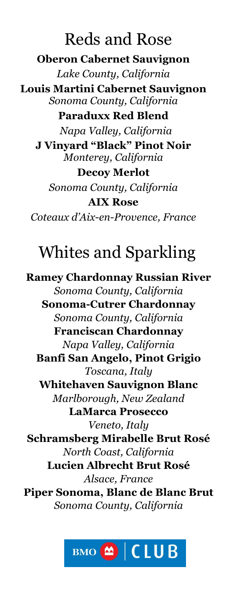## Reds and Rose **Oberon Cabernet Sauvignon** *Lake County, California* **Louis Martini Cabernet Sauvignon** *Sonoma County, California* **Paraduxx Red Blend** *Napa Valley, California* **J Vinyard "Black" Pinot Noir** *Monterey, California* **Decoy Merlot**  *Sonoma County, California* **AIX Rose** *Coteaux d'Aix-en-Provence, France*

# Whites and Sparkling

**Ramey Chardonnay Russian River**  *Sonoma County, California* **Sonoma-Cutrer Chardonnay**  *Sonoma County, California* **Franciscan Chardonnay**  *Napa Valley, California* **Banfi San Angelo, Pinot Grigio**  *Toscana, Italy* **Whitehaven Sauvignon Blanc**  *Marlborough, New Zealand* **LaMarca Prosecco**  *Veneto, Italy* **Schramsberg Mirabelle Brut Rosé** *North Coast, California*  **Lucien Albrecht Brut Rosé** *Alsace, France* **Piper Sonoma, Blanc de Blanc Brut** *Sonoma County, California*

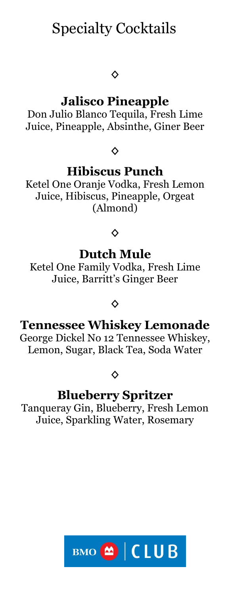## Specialty Cocktails

#### **◊**

## **Jalisco Pineapple**

Don Julio Blanco Tequila, Fresh Lime Juice, Pineapple, Absinthe, Giner Beer

**◊**

### **Hibiscus Punch**

Ketel One Oranje Vodka, Fresh Lemon Juice, Hibiscus, Pineapple, Orgeat (Almond)

#### **◊**

### **Dutch Mule**

Ketel One Family Vodka, Fresh Lime Juice, Barritt's Ginger Beer

#### **◊**

## **Tennessee Whiskey Lemonade**

George Dickel No 12 Tennessee Whiskey, Lemon, Sugar, Black Tea, Soda Water

**◊** 

### **Blueberry Spritzer**

Tanqueray Gin, Blueberry, Fresh Lemon Juice, Sparkling Water, Rosemary

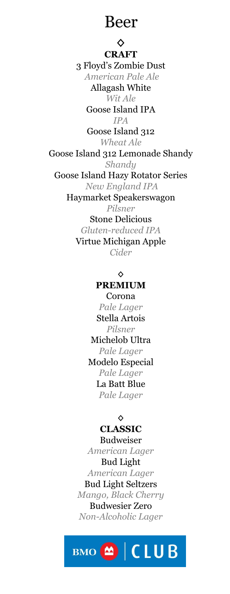## Beer

**◊ CRAFT** 3 Floyd's Zombie Dust *American Pale Ale* Allagash White *Wit Ale* Goose Island IPA *IPA* Goose Island 312 *Wheat Ale* Goose Island 312 Lemonade Shandy *Shandy* Goose Island Hazy Rotator Series *New England IPA* Haymarket Speakerswagon *Pilsner* Stone Delicious *Gluten-reduced IPA* Virtue Michigan Apple *Cider*

#### **◊**

#### **PREMIUM**

Corona *Pale Lager* Stella Artois *Pilsner* Michelob Ultra *Pale Lager* Modelo Especial *Pale Lager* La Batt Blue *Pale Lager*

#### **◊**

#### **CLASSIC**

Budweiser *American Lager* Bud Light *American Lager* Bud Light Seltzers *Mango, Black Cherry* Budwesier Zero *Non-Alcoholic Lager*

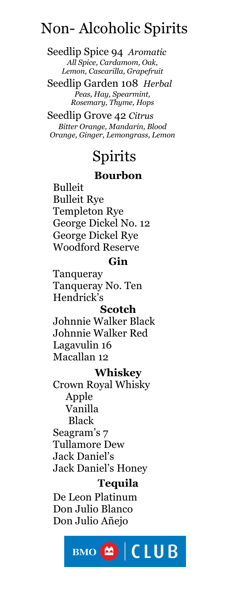## Non- Alcoholic Spirits

Seedlip Spice 94 *Aromatic All Spice, Cardamom, Oak, Lemon, Cascarilla, Grapefruit*

Seedlip Garden 108 *Herbal Peas, Hay, Spearmint, Rosemary, Thyme, Hops*

Seedlip Grove 42 *Citrus Bitter Orange, Mandarin, Blood Orange, Ginger, Lemongrass, Lemon*

## Spirits

### **Bourbon**

Bulleit Bulleit Rye Templeton Rye George Dickel No. 12 George Dickel Rye Woodford Reserve

### **Gin**

Tanqueray Tanqueray No. Ten Hendrick's

#### **Scotch**

Johnnie Walker Black Johnnie Walker Red Lagavulin 16 Macallan 12

#### **Whiskey**

Crown Royal Whisky Apple Vanilla Black Seagram's 7 Tullamore Dew Jack Daniel's Jack Daniel's Honey

#### **Tequila**

De Leon Platinum Don Julio Blanco Don Julio Añejo